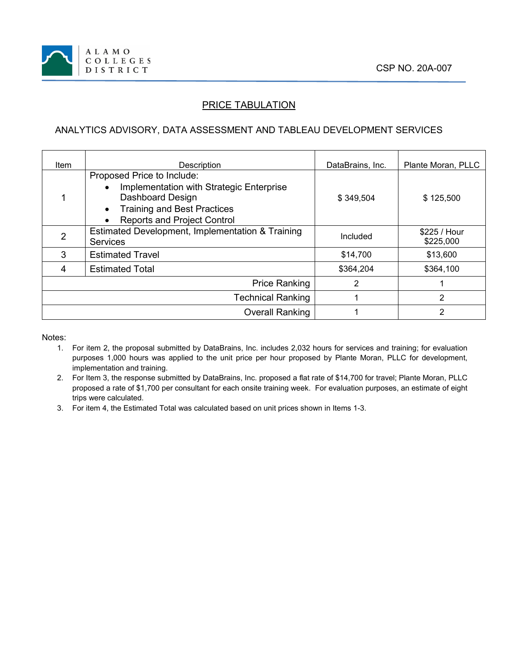

## PRICE TABULATION

## ANALYTICS ADVISORY, DATA ASSESSMENT AND TABLEAU DEVELOPMENT SERVICES

| ltem                     | <b>Description</b>                                                                                                                                                     | DataBrains, Inc. | Plante Moran, PLLC         |
|--------------------------|------------------------------------------------------------------------------------------------------------------------------------------------------------------------|------------------|----------------------------|
|                          | Proposed Price to Include:<br>Implementation with Strategic Enterprise<br>Dashboard Design<br><b>Training and Best Practices</b><br><b>Reports and Project Control</b> | \$349,504        | \$125,500                  |
|                          | Estimated Development, Implementation & Training<br><b>Services</b>                                                                                                    | Included         | $$225 /$ Hour<br>\$225,000 |
| 3                        | <b>Estimated Travel</b>                                                                                                                                                | \$14.700         | \$13,600                   |
| 4                        | <b>Estimated Total</b>                                                                                                                                                 | \$364,204        | \$364,100                  |
| <b>Price Ranking</b>     |                                                                                                                                                                        | 2                |                            |
| <b>Technical Ranking</b> |                                                                                                                                                                        |                  | 2                          |
|                          | <b>Overall Ranking</b>                                                                                                                                                 |                  | 2                          |

Notes:

- 1. For item 2, the proposal submitted by DataBrains, Inc. includes 2,032 hours for services and training; for evaluation purposes 1,000 hours was applied to the unit price per hour proposed by Plante Moran, PLLC for development, implementation and training.
- 2. For Item 3, the response submitted by DataBrains, Inc. proposed a flat rate of \$14,700 for travel; Plante Moran, PLLC proposed a rate of \$1,700 per consultant for each onsite training week. For evaluation purposes, an estimate of eight trips were calculated.
- 3. For item 4, the Estimated Total was calculated based on unit prices shown in Items 1-3.